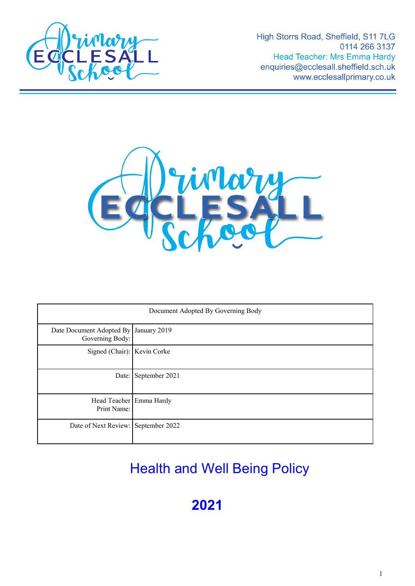

High Storrs Road, Sheffield, S11 7LG 0114 266 3137 **Head Teacher: Mrs Emma Hardy** enquiries@ecclesall.sheffield.sch.uk www.ecclesallprimary.co.uk



| Document Adopted By Governing Body                       |                      |
|----------------------------------------------------------|----------------------|
| Date Document Adopted By January 2019<br>Governing Body: |                      |
| Signed (Chair): Kevin Corke                              |                      |
|                                                          | Date: September 2021 |
| Head Teacher Emma Hardy<br>Print Name:                   |                      |
| Date of Next Review: September 2022                      |                      |

# Health and Well Being Policy

**2021**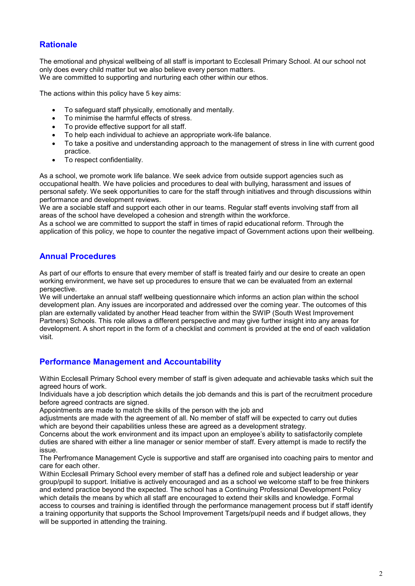# **Rationale**

The emotional and physical wellbeing of all staff is important to Ecclesall Primary School. At our school not only does every child matter but we also believe every person matters. We are committed to supporting and nurturing each other within our ethos.

The actions within this policy have 5 key aims:

- To safeguard staff physically, emotionally and mentally.
- To minimise the harmful effects of stress.
- To provide effective support for all staff.
- To help each individual to achieve an appropriate work-life balance.
- To take a positive and understanding approach to the management of stress in line with current good practice.
- To respect confidentiality.

As a school, we promote work life balance. We seek advice from outside support agencies such as occupational health. We have policies and procedures to deal with bullying, harassment and issues of personal safety. We seek opportunities to care for the staff through initiatives and through discussions within performance and development reviews.

We are a sociable staff and support each other in our teams. Regular staff events involving staff from all areas of the school have developed a cohesion and strength within the workforce.

As a school we are committed to support the staff in times of rapid educational reform. Through the application of this policy, we hope to counter the negative impact of Government actions upon their wellbeing.

## **Annual Procedures**

As part of our efforts to ensure that every member of staff is treated fairly and our desire to create an open working environment, we have set up procedures to ensure that we can be evaluated from an external perspective.

We will undertake an annual staff wellbeing questionnaire which informs an action plan within the school development plan. Any issues are incorporated and addressed over the coming year. The outcomes of this plan are externally validated by another Head teacher from within the SWIP (South West Improvement Partners) Schools. This role allows a different perspective and may give further insight into any areas for development. A short report in the form of a checklist and comment is provided at the end of each validation visit.

## **Performance Management and Accountability**

Within Ecclesall Primary School every member of staff is given adequate and achievable tasks which suit the agreed hours of work.

Individuals have a job description which details the job demands and this is part of the recruitment procedure before agreed contracts are signed.

Appointments are made to match the skills of the person with the job and

adjustments are made with the agreement of all. No member of staff will be expected to carry out duties which are beyond their capabilities unless these are agreed as a development strategy.

Concerns about the work environment and its impact upon an employee's ability to satisfactorily complete duties are shared with either a line manager or senior member of staff. Every attempt is made to rectify the issue.

The Perfromance Management Cycle is supportive and staff are organised into coaching pairs to mentor and care for each other.

Within Ecclesall Primary School every member of staff has a defined role and subject leadership or year group/pupil to support. Initiative is actively encouraged and as a school we welcome staff to be free thinkers and extend practice beyond the expected. The school has a Continuing Professional Development Policy which details the means by which all staff are encouraged to extend their skills and knowledge. Formal access to courses and training is identified through the performance management process but if staff identify a training opportunity that supports the School Improvement Targets/pupil needs and if budget allows, they will be supported in attending the training.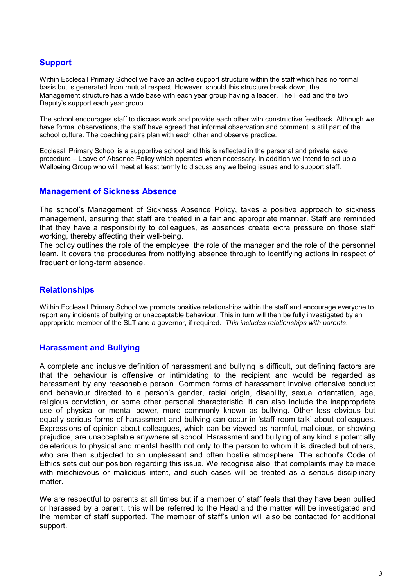# **Support**

Within Ecclesall Primary School we have an active support structure within the staff which has no formal basis but is generated from mutual respect. However, should this structure break down, the Management structure has a wide base with each year group having a leader. The Head and the two Deputy's support each year group.

The school encourages staff to discuss work and provide each other with constructive feedback. Although we have formal observations, the staff have agreed that informal observation and comment is still part of the school culture. The coaching pairs plan with each other and observe practice.

Ecclesall Primary School is a supportive school and this is reflected in the personal and private leave procedure – Leave of Absence Policy which operates when necessary. In addition we intend to set up a Wellbeing Group who will meet at least termly to discuss any wellbeing issues and to support staff.

#### **Management of Sickness Absence**

The school's Management of Sickness Absence Policy, takes a positive approach to sickness management, ensuring that staff are treated in a fair and appropriate manner. Staff are reminded that they have a responsibility to colleagues, as absences create extra pressure on those staff working, thereby affecting their well-being.

The policy outlines the role of the employee, the role of the manager and the role of the personnel team. It covers the procedures from notifying absence through to identifying actions in respect of frequent or long-term absence.

## **Relationships**

Within Ecclesall Primary School we promote positive relationships within the staff and encourage everyone to report any incidents of bullying or unacceptable behaviour. This in turn will then be fully investigated by an appropriate member of the SLT and a governor, if required. *This includes relationships with parents*.

## **Harassment and Bullying**

A complete and inclusive definition of harassment and bullying is difficult, but defining factors are that the behaviour is offensive or intimidating to the recipient and would be regarded as harassment by any reasonable person. Common forms of harassment involve offensive conduct and behaviour directed to a person's gender, racial origin, disability, sexual orientation, age, religious conviction, or some other personal characteristic. It can also include the inappropriate use of physical or mental power, more commonly known as bullying. Other less obvious but equally serious forms of harassment and bullying can occur in 'staff room talk' about colleagues. Expressions of opinion about colleagues, which can be viewed as harmful, malicious, or showing prejudice, are unacceptable anywhere at school. Harassment and bullying of any kind is potentially deleterious to physical and mental health not only to the person to whom it is directed but others, who are then subjected to an unpleasant and often hostile atmosphere. The school's Code of Ethics sets out our position regarding this issue. We recognise also, that complaints may be made with mischievous or malicious intent, and such cases will be treated as a serious disciplinary matter.

We are respectful to parents at all times but if a member of staff feels that they have been bullied or harassed by a parent, this will be referred to the Head and the matter will be investigated and the member of staff supported. The member of staff's union will also be contacted for additional support.